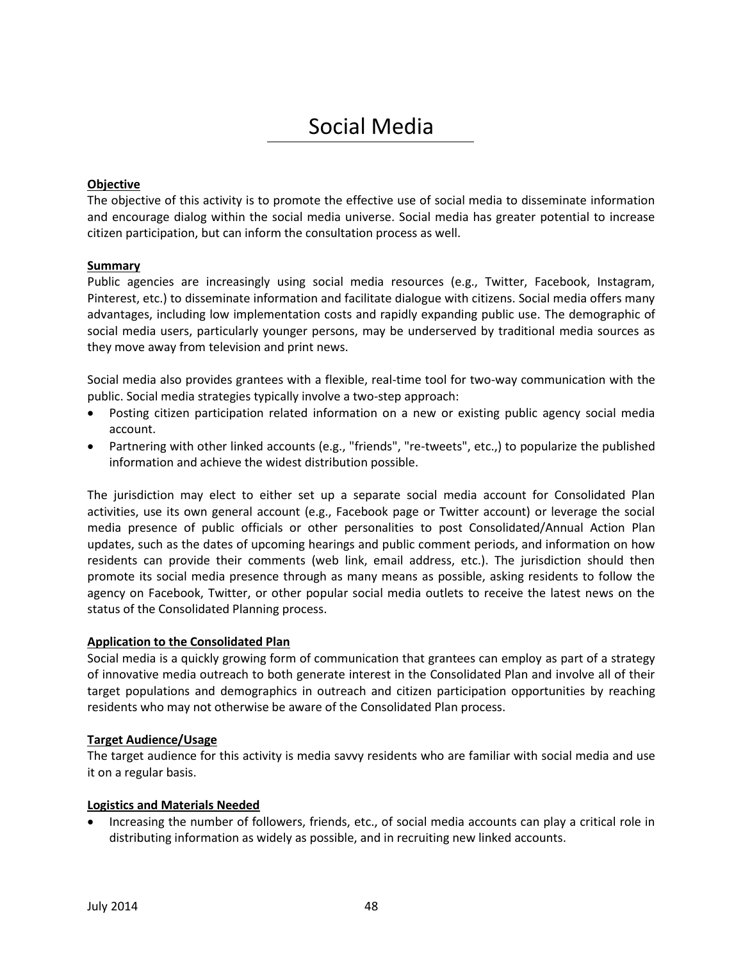# Social Media

## **Objective**

The objective of this activity is to promote the effective use of social media to disseminate information and encourage dialog within the social media universe. Social media has greater potential to increase citizen participation, but can inform the consultation process as well.

### **Summary**

Public agencies are increasingly using social media resources (e.g., Twitter, Facebook, Instagram, Pinterest, etc.) to disseminate information and facilitate dialogue with citizens. Social media offers many advantages, including low implementation costs and rapidly expanding public use. The demographic of social media users, particularly younger persons, may be underserved by traditional media sources as they move away from television and print news.

Social media also provides grantees with a flexible, real-time tool for two-way communication with the public. Social media strategies typically involve a two-step approach:

- Posting citizen participation related information on a new or existing public agency social media account.
- Partnering with other linked accounts (e.g., "friends", "re-tweets", etc.,) to popularize the published information and achieve the widest distribution possible.

The jurisdiction may elect to either set up a separate social media account for Consolidated Plan activities, use its own general account (e.g., Facebook page or Twitter account) or leverage the social media presence of public officials or other personalities to post Consolidated/Annual Action Plan updates, such as the dates of upcoming hearings and public comment periods, and information on how residents can provide their comments (web link, email address, etc.). The jurisdiction should then promote its social media presence through as many means as possible, asking residents to follow the agency on Facebook, Twitter, or other popular social media outlets to receive the latest news on the status of the Consolidated Planning process.

#### **Application to the Consolidated Plan**

Social media is a quickly growing form of communication that grantees can employ as part of a strategy of innovative media outreach to both generate interest in the Consolidated Plan and involve all of their target populations and demographics in outreach and citizen participation opportunities by reaching residents who may not otherwise be aware of the Consolidated Plan process.

#### **Target Audience/Usage**

The target audience for this activity is media savvy residents who are familiar with social media and use it on a regular basis.

#### **Logistics and Materials Needed**

 Increasing the number of followers, friends, etc., of social media accounts can play a critical role in distributing information as widely as possible, and in recruiting new linked accounts.